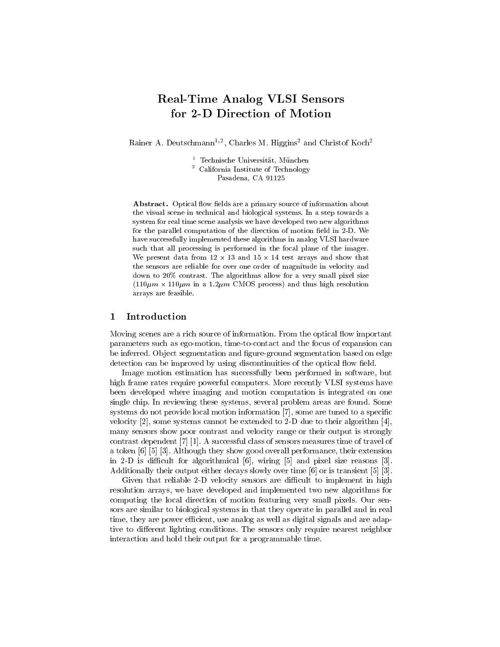# Real-Time Analog VLSI Sensors for 2-D Direction of Motion

Rainer A. Deutschmann<sup>-, C</sup>. Charles M. Higgins<sup>-</sup> and Christof Koch<sup>-</sup>

<sup>1</sup> Technische Universitat, Munchen <sup>2</sup> California Institute of Technology Pasadena, CA 91125

**Abstract.** Optical flow fields are a primary source of information about the visual scene in technical and biological systems. In a step towards a system for real time scene analysis we have developed two new algorithms for the parallel computation of the direction of motion field in 2-D. We have successfully implemented these algorithms in analog VLSI hardware such that all processing is performed in the focal plane of the imager. We present data from 12 - 13 and 15 - 14 test arrays and show that the sensors are reliable for over one order of magnitude in velocity and down to 20% contrast. The algorithms allow for a very small pixel size  $\mathcal{L}$  , i.e., the intervals of the state  $\mathcal{L}$  and thus  $\mathcal{L}$  and the thus high resolution of the state of the state  $\mathcal{L}$ arrays are feasible.

## 1 Introduction

Moving scenes are a rich source of information. From the optical flow important parameters such as ego-motion, time-to-contact and the focus of expansion can be inferred. Object segmentation and figure-ground segmentation based on edge detection can be improved by using discontinuities of the optical flow field.

Image motion estimation has successfully been performed in software, but high frame rates require powerful computers. More recently VLSI systems have been developed where imaging and motion computation is integrated on one single chip. In reviewing these systems, several problem areas are found. Some systems do not provide local motion information [7], some are tuned to a specific velocity [2], some systems cannot be extended to 2-D due to their algorithm [4], many sensors show poor contrast and velocity range or their output is strongly contrast dependent [7] [1]. A successful class of sensors measures time of travel of a token [6] [5] [3]. Although they show good overall performance, their extension in 2-D is difficult for algorithmical  $[6]$ , wiring  $[5]$  and pixel size reasons  $[3]$ . Additionally their output either decays slowly over time [6] or is transient [5] [3].

Given that reliable 2-D velocity sensors are difficult to implement in high resolution arrays, we have developed and implemented two new algorithms for computing the local direction of motion featuring very small pixels. Our sensors are similar to biological systems in that they operate in parallel and in real time, they are power efficient, use analog as well as digital signals and are adaptive to different lighting conditions. The sensors only require nearest neighbor interaction and hold their output for a programmable time.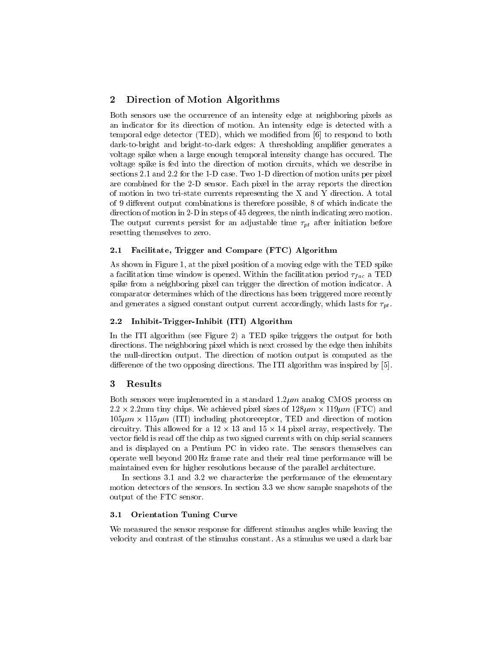# 2 Direction of Motion Algorithms

Both sensors use the occurrence of an intensity edge at neighboring pixels as an indicator for its direction of motion. An intensity edge is detected with a temporal edge detector (TED), which we modied from [6] to respond to both dark-to-bright and bright-to-dark edges: A thresholding amplifier generates a voltage spike when a large enough temporal intensity change has occured. The voltage spike is fed into the direction of motion circuits, which we describe in sections 2.1 and 2.2 for the 1-D case. Two 1-D direction of motion units per pixel are combined for the 2-D sensor. Each pixel in the array reports the direction of motion in two tri-state currents representing the X and Y direction. A total of 9 different output combinations is therefore possible, 8 of which indicate the direction of motion in 2-D in steps of 45 degrees, the ninth indicating zero motion. The output currents persist for an adjustable time  $\tau_{pt}$  after initiation before resetting themselves to zero.

#### 2.1 Facilitate, Trigger and Compare (FTC) Algorithm

As shown in Figure 1, at the pixel position of a moving edge with the TED spike a facilitation time window is opened. Within the facilitation period  $\tau_{fac}$  a TED spike from a neighboring pixel can trigger the direction of motion indicator. A comparator determines which of the directions has been triggered more recently and generates a signed constant output current accordingly, which lasts for  $\tau_{pt}$ .

## 2.2 Inhibit-Trigger-Inhibit (ITI) Algorithm

In the ITI algorithm (see Figure 2) a TED spike triggers the output for both directions. The neighboring pixel which is next crossed by the edge then inhibits the null-direction output. The direction of motion output is computed as the difference of the two opposing directions. The ITI algorithm was inspired by  $[5]$ .

## 3 Results

Both sensors were implemented in a standard  $1.2 \mu m$  analog CMOS process on 2:2 - 2:2mm tiny chips. We achieved pixel sizes of 128m - 119m (FTC) and 105m - 115m (ITI) including photoreceptor, TED and direction of motion circuitry. This allowed for a 12 - 13 and 13 and 13 and 13 pixels. The complete state that the complete state vector field is read off the chip as two signed currents with on chip serial scanners and is displayed on a Pentium PC in video rate. The sensors themselves can operate well beyond 200 Hz frame rate and their real time performance will be maintained even for higher resolutions because of the parallel architecture.

In sections 3.1 and 3.2 we characterize the performance of the elementary motion detectors of the sensors. In section 3.3 we show sample snapshots of the output of the FTC sensor.

#### 3.1 Orientation Tuning Curve

We measured the sensor response for different stimulus angles while leaving the velocity and contrast of the stimulus constant. As a stimulus we used a dark bar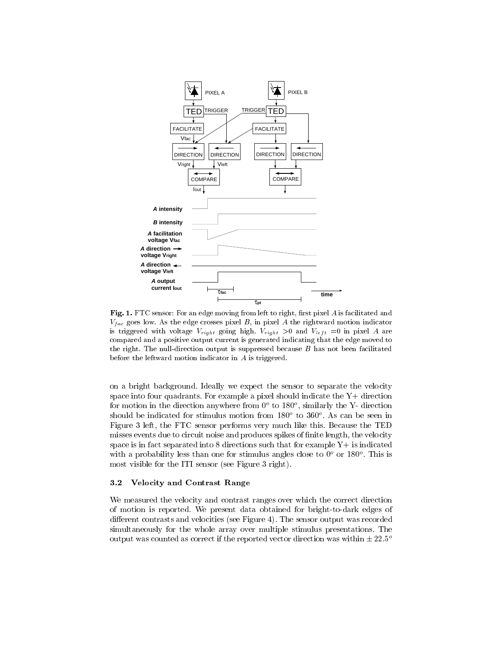

Fig. 1. FTC sensor: For an edge moving from left to right, first pixel  $A$  is facilitated and  $v_{fac}$  goes low. As the edge crosses placi  $D$ , in placi A the rightward motion indicator  $\omega$  diggered with voltage  $v_{final}$  going high.  $v_{final} > 0$  and  $v_{left} = 0$  in placi A are compared and a positive output current is generated indicating that the edge moved to the right. The null-direction output is suppressed because  $B$  has not been facilitated before the leftward motion indicator in A is triggered.

on a bright background. Ideally we expect the sensor to separate the velocity space into four quadrants. For example a pixel should indicate the  $Y+$  direction for motion in the direction anywhere from  $\sigma$  to 180 , similarly the  $Y-$  direction should be indicated for stimulus motion from 180o to 360<sup>o</sup> . As can be seen in Figure 3 left, the FTC sensor performs very much like this. Because the TED misses events due to circuit noise and produces spikes of finite length, the velocity space is in fact separated into  $8$  directions such that for example  $Y+$  is indicated with a probability less than one for stimulus angles close to  $0^\circ$  or 180 $^\circ$ . This is most visible for the ITI sensor (see Figure 3 right).

#### 3.2 Velocity and Contrast Range

We measured the velocity and contrast ranges over which the correct direction of motion is reported. We present data obtained for bright-to-dark edges of different contrasts and velocities (see Figure 4). The sensor output was recorded simultaneously for the whole array over multiple stimulus presentations. The output was counted as correct if the reported vector direction was within  $\pm 22.5^{\circ}$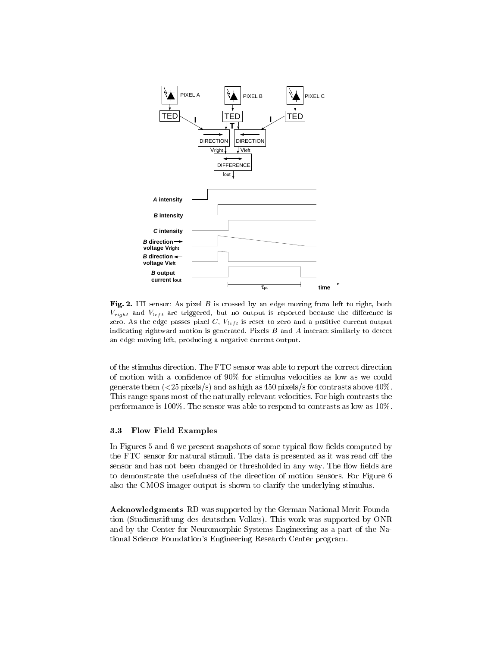

Fig. 2. ITI sensor: As pixel  $B$  is crossed by an edge moving from left to right, both  $v_{\text{right}}$  and  $v_{\text{left}}$  are driggered, but no output is reported because the difference is zero. To the edge passes pixel  $C_1$   $V_{left}$  to reset to zero and a positive current output indicating rightward motion is generated. Pixels  $B$  and  $A$  interact similarly to detect an edge moving left, producing a negative current output.

of the stimulus direction. The FTC sensor was able to report the correct direction of motion with a condence of 90% for stimulus velocities as low as we could generate them  $\left( \langle 25 \rangle \right)$  and as high as 450 pixels/s for contrasts above 40%. This range spans most of the naturally relevant velocities. For high contrasts the performance is 100%. The sensor was able to respond to contrasts as low as 10%.

#### 3.3 Flow Field Examples

In Figures  $5$  and  $6$  we present snapshots of some typical flow fields computed by the FTC sensor for natural stimuli. The data is presented as it was read off the sensor and has not been changed or thresholded in any way. The flow fields are to demonstrate the usefulness of the direction of motion sensors. For Figure 6 also the CMOS imager output is shown to clarify the underlying stimulus.

Acknowledgments RD was supported by the German National Merit Foundation (Studienstiftung des deutschen Volkes). This work was supported by ONR and by the Center for Neuromorphic Systems Engineering as a part of the National Science Foundation's Engineering Research Center program.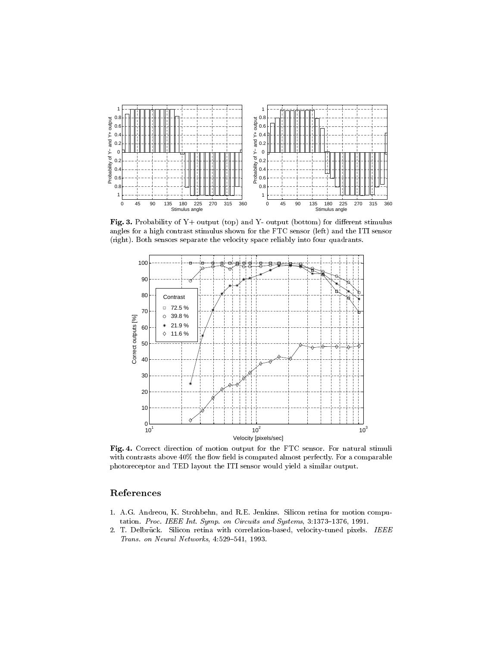

Fig. 3. Probability of  $Y+$  output (top) and  $Y-$  output (bottom) for different stimulus angles for a high contrast stimulus shown for the FTC sensor (left) and the ITI sensor (right). Both sensors separate the velocity space reliably into four quadrants.



Fig. 4. Correct direction of motion output for the FTC sensor. For natural stimuli with contrasts above 40% the flow field is computed almost perfectly. For a comparable photoreceptor and TED layout the ITI sensor would yield a similar output.

# References

- 1. A.G. Andreou, K. Strohbehn, and R.E. Jenkins. Silicon retina for motion computation. Proc. IEEE Int. Symp. on Circuits and Systems,  $3:1373-1376$ , 1991.
- 2. T. Delbrück. Silicon retina with correlation-based, velocity-tuned pixels. IEEE Trans. on Neural Networks,  $4:529-541$ , 1993.